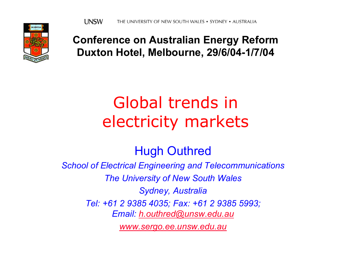

**Conference on Australian Energy Reform Duxton Hotel, Melbourne, 29/6/04-1/7/04**

## Global trends in electricity markets

#### Hugh Outhred

*School of Electrical Engineering and Telecommunications*

*The University of New South Wales*

*Sydney, Australia*

*Tel: +61 2 9385 4035; Fax: +61 2 9385 5993;* 

*Email: [h.outhred@unsw.edu.au](mailto:h.outhred@unsw.edu.au)*

*[www.sergo.ee.unsw.edu.au](http://www.sergo.ee.unsw.edu.au/)*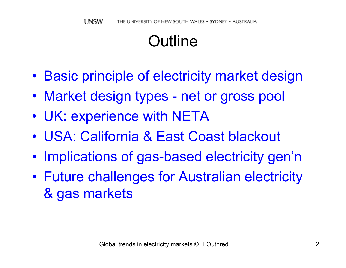## **Outline**

- $\bullet$ Basic principle of electricity market design
- Market design types net or gross pool
- UK: experience with NETA
- USA: California & East Coast blackout
- $\bullet$ • Implications of gas-based electricity gen'n
- $\bullet$  Future challenges for Australian electricity & gas markets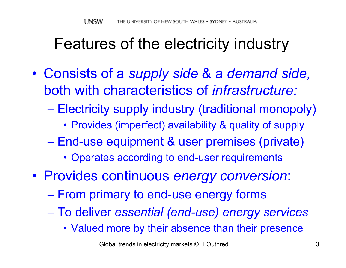### Features of the electricity industry

- $\bullet$  Consists of a *supply side* & a *demand side,*  both with characteristics of *infrastructure:*
	- $\mathcal{L}_{\mathcal{A}}$  , and the set of the set of the set of the set of the set of the set of the set of the set of the set of the set of the set of the set of the set of the set of the set of the set of the set of the set of th Electricity supply industry (traditional monopoly)
		- Provides (imperfect) availability & quality of supply
	- $\mathcal{L}_{\mathcal{A}}$  End-use equipment & user premises (private)
		- Operates according to end-user requirements
- Provides continuous *energy conversion*:
	- From primary to end-use energy forms
	- $\mathcal{L}_{\mathcal{A}}$  , and the set of the set of the set of the set of the set of the set of the set of the set of the set of the set of the set of the set of the set of the set of the set of the set of the set of the set of th To deliver *essential (end-use) energy services*
		- Valued more by their absence than their presence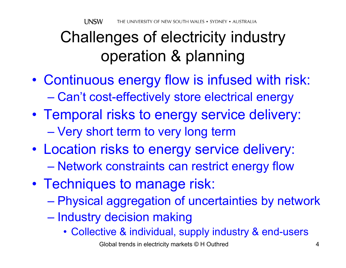## Challenges of electricity industry operation & planning

- $\bullet$  Continuous energy flow is infused with risk:  $\mathcal{L}_{\mathcal{A}}$  , and the set of the set of the set of the set of the set of the set of the set of the set of the set of the set of the set of the set of the set of the set of the set of the set of the set of the set of th Can't cost-effectively store electrical energy
- Temporal risks to energy service delivery: Very short term to very long term
- Location risks to energy service delivery:  $\mathcal{L}_{\mathcal{A}}$  , and the set of the set of the set of the set of the set of the set of the set of the set of the set of the set of the set of the set of the set of the set of the set of the set of the set of the set of th Network constraints can restrict energy flow
- Techniques to manage risk:
	- $\mathcal{L}_{\mathcal{A}}$  , and the set of the set of the set of the set of the set of the set of the set of the set of the set of the set of the set of the set of the set of the set of the set of the set of the set of the set of th Physical aggregation of uncertainties by network
	- –– Industry decision making
		- Collective & individual, supply industry & end-users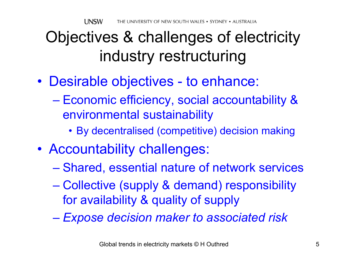## Objectives & challenges of electricity industry restructuring

- Desirable objectives to enhance:
	- $\mathcal{L}_{\mathcal{A}}$  Economic efficiency, social accountability & environmental sustainability
		- By decentralised (competitive) decision making
- Accountability challenges:
	- –Shared, essential nature of network services
	- $\mathcal{L}_{\mathcal{A}}$  , and the set of the set of the set of the set of the set of the set of the set of the set of the set of the set of the set of the set of the set of the set of the set of the set of the set of the set of th Collective (supply & demand) responsibility for availability & quality of supply
	- $\mathcal{L}_{\mathcal{A}}$  , and the set of the set of the set of the set of the set of the set of the set of the set of the set of the set of the set of the set of the set of the set of the set of the set of the set of the set of th *Expose decision maker to associated risk*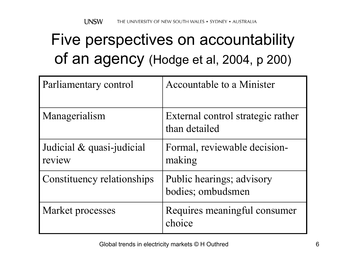# Five perspectives on accountability of an agency (Hodge et al, 2004, p 200)

| Parliamentary control               | Accountable to a Minister                          |
|-------------------------------------|----------------------------------------------------|
| Managerialism                       | External control strategic rather<br>than detailed |
| Judicial & quasi-judicial<br>review | Formal, reviewable decision-<br>making             |
| Constituency relationships          | Public hearings; advisory<br>bodies; ombudsmen     |
| Market processes                    | Requires meaningful consumer<br>choice             |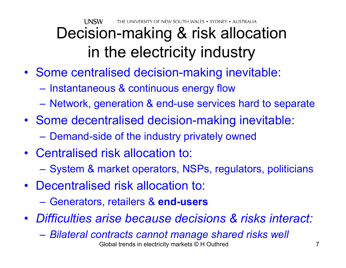UNSW THE UNIVERSITY OF NEW SOUTH WALES • SYDNEY • AUSTRALIA

# Decision-making & risk allocation in the electricity industry

- Some centralised decision-making inevitable:
	- $-$  Instantaneous & continuous energy flow
	- Network, generation & end-use services hard to separate
- Some decentralised decision-making inevitable:
	- Demand-side of the industry privately owned
- Centralised risk allocation to: – System & market operators, NSPs, regulators, politicians
- Decentralised risk allocation to:
	- $\mathcal{L}_{\mathcal{A}}$  , and the set of the set of the set of the set of the set of the set of the set of the set of the set of the set of the set of the set of the set of the set of the set of the set of the set of the set of th Generators, retailers & **end-users**
- *Difficulties arise because decisions & risks interact:*
	- Global trends in electricity markets © H Outhred 7  $\mathcal{L}_{\mathcal{A}}$ *Bilateral contracts cannot manage shared risks well*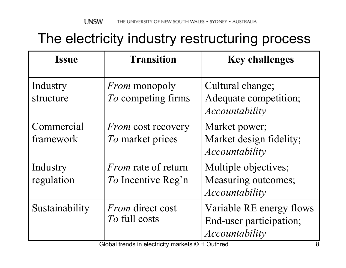### The electricity industry restructuring process

| <b>Issue</b>            | <b>Transition</b>                                       | <b>Key challenges</b>                                                 |
|-------------------------|---------------------------------------------------------|-----------------------------------------------------------------------|
| Industry<br>structure   | <i>From</i> monopoly<br>To competing firms              | Cultural change;<br>Adequate competition;<br>Accountability           |
| Commercial<br>framework | <i>From</i> cost recovery<br>To market prices           | Market power;<br>Market design fidelity;<br>Accountability            |
| Industry<br>regulation  | <i>From</i> rate of return<br><i>To</i> Incentive Reg'n | Multiple objectives;<br>Measuring outcomes;<br>Accountability         |
| Sustainability          | <i>From</i> direct cost<br>To full costs                | Variable RE energy flows<br>End-user participation;<br>Accountability |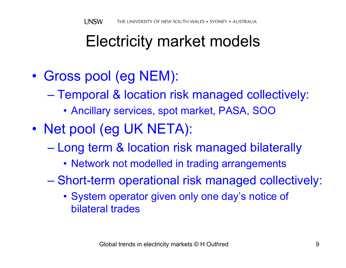### Electricity market models

- $\bullet$  Gross pool (eg NEM):
	- $\mathcal{L}_{\mathcal{A}}$  Temporal & location risk managed collectively:
		- Ancillary services, spot market, PASA, SOO
- $\bullet$ • Net pool (eg UK NETA):
	- $\mathcal{L}_{\mathcal{A}}$  , and the set of the set of the set of the set of the set of the set of the set of the set of the set of the set of the set of the set of the set of the set of the set of the set of the set of the set of th Long term & location risk managed bilaterally
		- Network not modelled in trading arrangements
	- – Short-term operational risk managed collectively:
		- System operator given only one day's notice of bilateral trades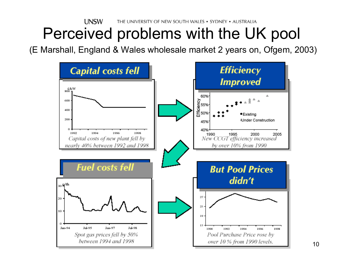#### **UNSW** THE UNIVERSITY OF NEW SOUTH WALES . SYDNEY . AUSTRALIA Perceived problems with the UK pool

(E Marshall, England & Wales wholesale market 2 years on, Ofgem, 2003)

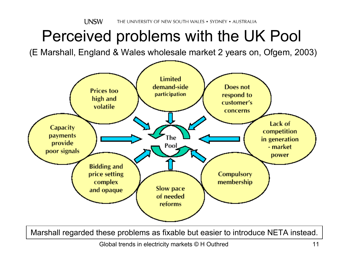### Perceived problems with the UK Pool

(E Marshall, England & Wales wholesale market 2 years on, Ofgem, 2003)



Marshall regarded these problems as fixable but easier to introduce NETA instead.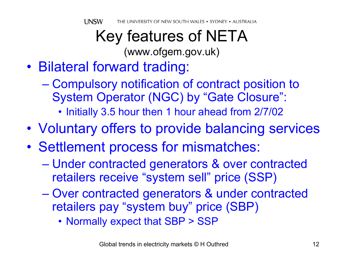### Key features of NETA (www.ofgem.gov.uk)

- $\bullet$  Bilateral forward trading:
	- $\mathcal{L}_{\mathcal{A}}$  , and the set of the set of the set of the set of the set of the set of the set of the set of the set of the set of the set of the set of the set of the set of the set of the set of the set of the set of th Compulsory notification of contract position to System Operator (NGC) by "Gate Closure":
		- Initially 3.5 hour then 1 hour ahead from 2/7/02
- $\bullet$ Voluntary offers to provide balancing services
- $\bullet$ • Settlement process for mismatches:
	- Under contracted generators & over contracted retailers receive "system sell" price (SSP)
	- – Over contracted generators & under contracted retailers pay "system buy" price (SBP)
		- Normally expect that SBP > SSP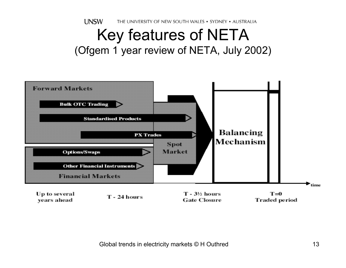**UNSW** THE UNIVERSITY OF NEW SOUTH WALES . SYDNEY . AUSTRALIA

### Key features of NETA (Ofgem 1 year review of NETA, July 2002)

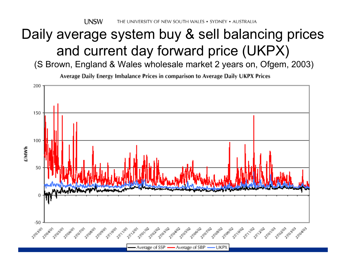**UNSW** THE UNIVERSITY OF NEW SOUTH WALES • SYDNEY • AUSTRALIA

### Daily average system buy & sell balancing prices and current day forward price (UKPX)

(S Brown, England & Wales wholesale market 2 years on, Ofgem, 2003)

Average Daily Energy Imbalance Prices in comparison to Average Daily UKPX Prices

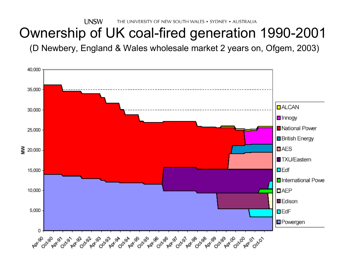**UNSW** THE UNIVERSITY OF NEW SOUTH WALES . SYDNEY . AUSTRALIA

### Ownership of UK coal-fired generation 1990-2001

(D Newbery, England & Wales wholesale market 2 years on, Ofgem, 2003)

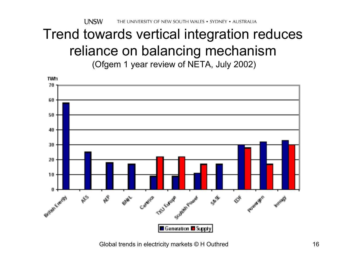**UNSW** THE UNIVERSITY OF NEW SOUTH WALES . SYDNEY . AUSTRALIA

### Trend towards vertical integration reduces reliance on balancing mechanism

(Ofgem 1 year review of NETA, July 2002)

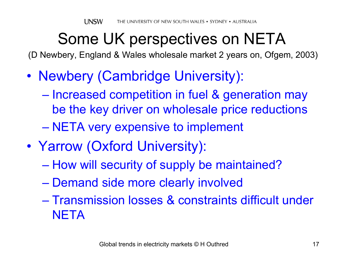## Some UK perspectives on NETA

(D Newbery, England & Wales wholesale market 2 years on, Ofgem, 2003)

- $\bullet$  Newbery (Cambridge University):
	- $\mathcal{L}_{\mathcal{A}}$ – Increased competition in fuel & generation may be the key driver on wholesale price reductions
	- NETA very expensive to implement
- $\bullet$  Yarrow (Oxford University):
	- $\mathcal{L}_{\mathcal{A}}$  , and the set of the set of the set of the set of the set of the set of the set of the set of the set of the set of the set of the set of the set of the set of the set of the set of the set of the set of th – How will security of supply be maintained?
	- $\mathcal{L}_{\mathcal{A}}$  , and the set of the set of the set of the set of the set of the set of the set of the set of the set of the set of the set of the set of the set of the set of the set of the set of the set of the set of th Demand side more clearly involved
	- Transmission losses & constraints difficult under **NETA**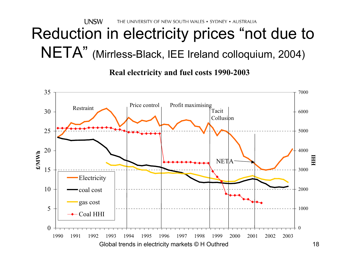**UNSW** THE UNIVERSITY OF NEW SOUTH WALES . SYDNEY . AUSTRALIA

# Reduction in electricity prices "not due to NETA" (Mirrless-Black, IEE Ireland colloquium, 2004)

**Real electricity and fuel costs 1990-2003**

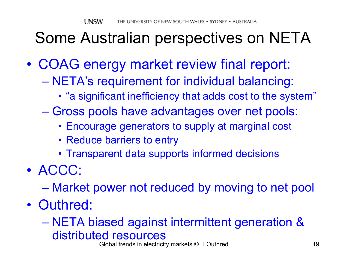## Some Australian perspectives on NETA

- $\bullet$  COAG energy market review final report:
	- $\mathcal{L}_{\mathcal{A}}$  , and the set of the set of the set of the set of the set of the set of the set of the set of the set of the set of the set of the set of the set of the set of the set of the set of the set of the set of th NETA's requirement for individual balancing:
		- "a significant inefficiency that adds cost to the system"
	- Gross pools have advantages over net pools:
		- Encourage generators to supply at marginal cost
		- Reduce barriers to entry
		- Transparent data supports informed decisions
- ACCC:
	- $\mathcal{L}_{\mathcal{A}}$  , and the set of the set of the set of the set of the set of the set of the set of the set of the set of the set of the set of the set of the set of the set of the set of the set of the set of the set of th Market power not reduced by moving to net pool
- Outhred:

#### NETA biased against intermittent generation & distributed resources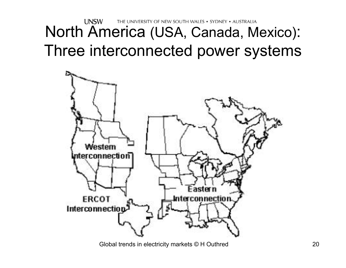#### **UNSW** THE UNIVERSITY OF NEW SOUTH WALES . SYDNEY . AUSTRALIA North America (USA, Canada, Mexico): Three interconnected power systems

![](_page_19_Figure_1.jpeg)

Global trends in electricity markets © H Outhred 20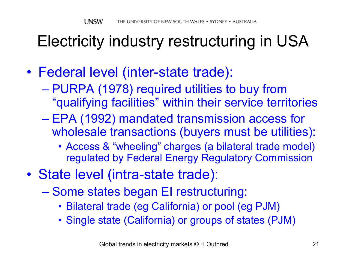## Electricity industry restructuring in USA

- $\bullet$  Federal level (inter-state trade):
	- $\mathcal{L}_{\mathcal{A}}$  , and the set of the set of the set of the set of the set of the set of the set of the set of the set of the set of the set of the set of the set of the set of the set of the set of the set of the set of th PURPA (1978) required utilities to buy from "qualifying facilities" within their service territories
	- $\mathcal{L}_{\mathcal{A}}$  , and the set of the set of the set of the set of the set of the set of the set of the set of the set of the set of the set of the set of the set of the set of the set of the set of the set of the set of th EPA (1992) mandated transmission access for wholesale transactions (buyers must be utilities):
		- Access & "wheeling" charges (a bilateral trade model) regulated by Federal Energy Regulatory Commission
- $\bullet$  State level (intra-state trade):
	- Some states began EI restructuring:
		- Bilateral trade (eg California) or pool (eg PJM)
		- Single state (California) or groups of states (PJM)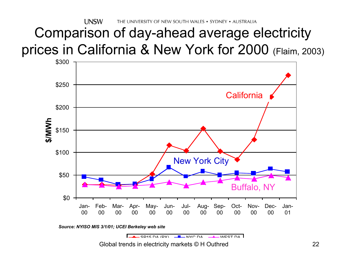**UNSW** THE UNIVERSITY OF NEW SOUTH WALES . SYDNEY . AUSTRALIA

### Comparison of day-ahead average electricity prices in California & New York for 2000 (Flaim, 2003)

![](_page_21_Figure_2.jpeg)

![](_page_21_Picture_3.jpeg)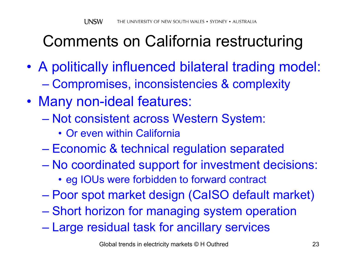## Comments on California restructuring

- $\bullet$  A politically influenced bilateral trading model:  $\mathcal{L}_{\mathcal{A}}$  , and the set of the set of the set of the set of the set of the set of the set of the set of the set of the set of the set of the set of the set of the set of the set of the set of the set of the set of th Compromises, inconsistencies & complexity
- $\bullet$  Many non-ideal features:
	- Not consistent across Western System:
		- Or even within California
	- $\mathcal{L}_{\mathcal{A}}$  , and the set of the set of the set of the set of the set of the set of the set of the set of the set of the set of the set of the set of the set of the set of the set of the set of the set of the set of th – Economic & technical regulation separated
	- No coordinated support for investment decisions:
		- eg IOUs were forbidden to forward contract
	- –Poor spot market design (CaISO default market)
	- Short horizon for managing system operation
	- $\mathcal{L}_{\mathcal{A}}$  , and the set of the set of the set of the set of the set of the set of the set of the set of the set of the set of the set of the set of the set of the set of the set of the set of the set of the set of th Large residual task for ancillary services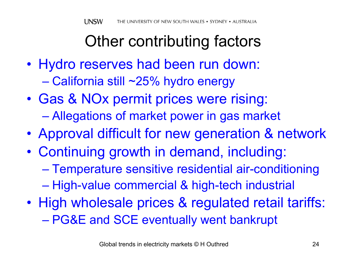## Other contributing factors

- Hydro reserves had been run down:  $\mathcal{L}_{\mathcal{A}}$  , and the set of the set of the set of the set of the set of the set of the set of the set of the set of the set of the set of the set of the set of the set of the set of the set of the set of the set of th California still ~25% hydro energy
- $\bullet$  Gas & NOx permit prices were rising: Allegations of market power in gas market
- $\bullet$ Approval difficult for new generation & network
- $\bullet$  Continuing growth in demand, including: Temperature sensitive residential air-conditioning  $\mathcal{L}_{\mathcal{A}}$  , and the set of the set of the set of the set of the set of the set of the set of the set of the set of the set of the set of the set of the set of the set of the set of the set of the set of the set of th – High-value commercial & high-tech industrial
- $\bullet$ • High wholesale prices & regulated retail tariffs: PG&E and SCE eventually went bankrupt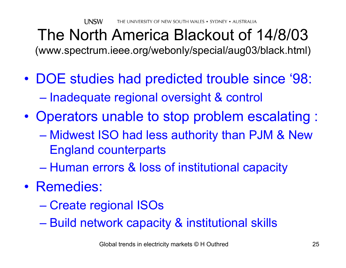### The North America Blackout of 14/8/03 (www.spectrum.ieee.org/webonly/special/aug03/black.html)

- $\bullet$  DOE studies had predicted trouble since '98:  $\mathcal{L}_{\mathcal{A}}$ – Inadequate regional oversight & control
- $\bullet$  Operators unable to stop problem escalating :
	- $\mathcal{L}_{\mathcal{A}}$  , and the set of the set of the set of the set of the set of the set of the set of the set of the set of the set of the set of the set of the set of the set of the set of the set of the set of the set of th Midwest ISO had less authority than PJM & New England counterparts
	- $\mathcal{L}_{\mathcal{A}}$  , and the set of the set of the set of the set of the set of the set of the set of the set of the set of the set of the set of the set of the set of the set of the set of the set of the set of the set of th – Human errors & loss of institutional capacity
- Remedies:
	- –Create regional ISOs
	- $\mathcal{L}_{\mathcal{A}}$  , and the set of the set of the set of the set of the set of the set of the set of the set of the set of the set of the set of the set of the set of the set of the set of the set of the set of the set of th Build network capacity & institutional skills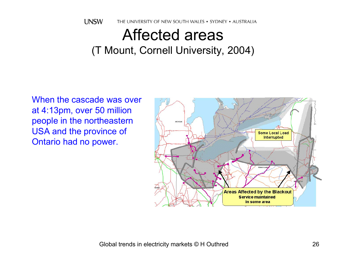![](_page_25_Picture_0.jpeg)

### Affected areas(T Mount, Cornell University, 2004)

When the cascade was over at 4:13pm, over 50 million people in the northeastern USA and the province of Ontario had no power.

![](_page_25_Figure_3.jpeg)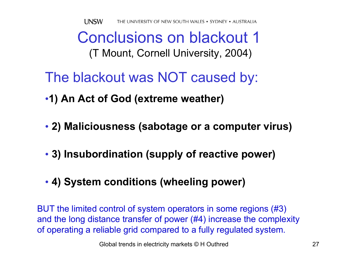### Conclusions on blackout 1(T Mount, Cornell University, 2004)

- The blackout was NOT caused by:
- •**1) An Act of God (extreme weather)**
- **2) Maliciousness (sabotage or a computer virus)**
- **3) Insubordination (supply of reactive power)**
- **4) System conditions (wheeling power)**

BUT the limited control of system operators in some regions (#3) and the long distance transfer of power (#4) increase the complexity of operating a reliable grid compared to a fully regulated system.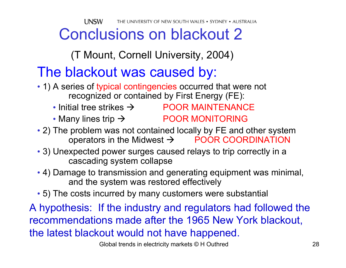**UNSW** THE UNIVERSITY OF NEW SOUTH WALES • SYDNEY • AUSTRALIA

### Conclusions on blackout 2

(T Mount, Cornell University, 2004)

### The blackout was caused by:

- 1) A series of typical contingencies occurred that were not recognized or contained by First Energy (FE):
	- Initial tree strikes  $\rightarrow$  POOR MAINTENANCE
	- Many lines trip  $\rightarrow$  **POOR MONITORING**
- 2) The problem was not contained locally by FE and other system operators in the Midwest  $\rightarrow$  POOR COORDINATION
- 3) Unexpected power surges caused relays to trip correctly in a cascading system collapse
- 4) Damage to transmission and generating equipment was minimal, and the system was restored effectively
- 5) The costs incurred by many customers were substantial

A hypothesis: If the industry and regulators had followed the recommendations made after the 1965 New York blackout, the latest blackout would not have happened.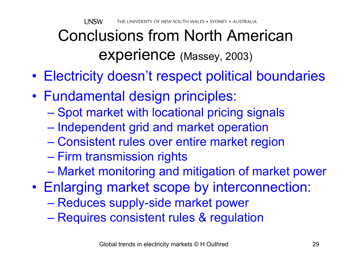## Conclusions from North American experience (Massey, 2003)

- Electricity doesn't respect political boundaries
- Fundamental design principles:
	- –– Spot market with locational pricing signals
	- $\mathcal{L}_{\mathcal{A}}$  , and the set of the set of the set of the set of the set of the set of the set of the set of the set of the set of the set of the set of the set of the set of the set of the set of the set of the set of th – Independent grid and market operation
	- $\mathcal{L}_{\mathcal{A}}$  , and the set of the set of the set of the set of the set of the set of the set of the set of the set of the set of the set of the set of the set of the set of the set of the set of the set of the set of th Consistent rules over entire market region
	- Firm transmission rights
	- Market monitoring and mitigation of market power
- Enlarging market scope by interconnection:
	- Reduces supply-side market power
	- Requires consistent rules & regulation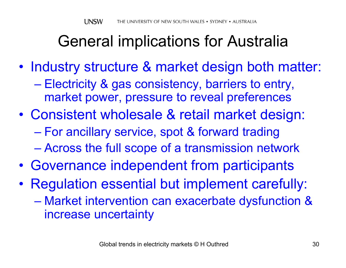## General implications for Australia

- $\bullet$ • Industry structure & market design both matter:  $\mathcal{L}_{\mathcal{A}}$  , and the set of the set of the set of the set of the set of the set of the set of the set of the set of the set of the set of the set of the set of the set of the set of the set of the set of the set of th Electricity & gas consistency, barriers to entry, market power, pressure to reveal preferences
- $\bullet$  Consistent wholesale & retail market design:  $\mathcal{L}_{\mathcal{A}}$  For ancillary service, spot & forward trading Across the full scope of a transmission network
- $\bullet$ Governance independent from participants
- $\bullet$  Regulation essential but implement carefully:
	- $\mathcal{L}_{\mathcal{A}}$  Market intervention can exacerbate dysfunction & increase uncertainty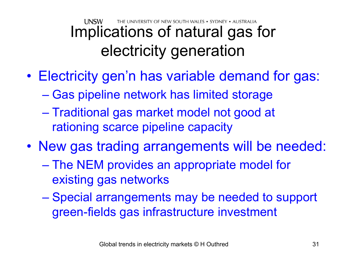#### **LINSW** THE UNIVERSITY OF NEW SOUTH WALES • SYDNEY • AUSTRAUA Implications of natural gas for electricity generation

- $\bullet$  Electricity gen'n has variable demand for gas:
	- $\mathcal{L}_{\mathcal{A}}$ – Gas pipeline network has limited storage
	- $\mathcal{L}_{\mathcal{A}}$  , and the set of the set of the set of the set of the set of the set of the set of the set of the set of the set of the set of the set of the set of the set of the set of the set of the set of the set of th – Traditional gas market model not good at rationing scarce pipeline capacity
- New gas trading arrangements will be needed:
	- $\mathcal{L}_{\mathcal{A}}$  , and the set of the set of the set of the set of the set of the set of the set of the set of the set of the set of the set of the set of the set of the set of the set of the set of the set of the set of th The NEM provides an appropriate model for existing gas networks
	- Special arrangements may be needed to support green-fields gas infrastructure investment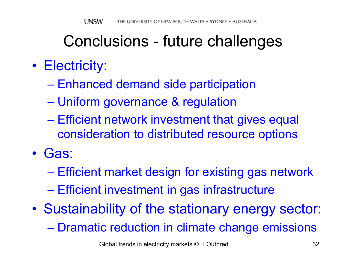### Conclusions - future challenges

### • Electricity:

- $\mathcal{L}_{\mathcal{A}}$ Enhanced demand side participation
- $\mathcal{L}_{\mathcal{A}}$  , and the set of the set of the set of the set of the set of the set of the set of the set of the set of the set of the set of the set of the set of the set of the set of the set of the set of the set of th Uniform governance & regulation
- Efficient network investment that gives equal consideration to distributed resource options
- Gas:
	- $\mathcal{L}_{\mathcal{A}}$  , and the set of the set of the set of the set of the set of the set of the set of the set of the set of the set of the set of the set of the set of the set of the set of the set of the set of the set of th Efficient market design for existing gas network
	- $\mathcal{L}_{\mathcal{A}}$  , and the set of the set of the set of the set of the set of the set of the set of the set of the set of the set of the set of the set of the set of the set of the set of the set of the set of the set of th – Efficient investment in gas infrastructure
- $\bullet$  Sustainability of the stationary energy sector:  $\mathcal{L}_{\mathcal{A}}$  , and the set of the set of the set of the set of the set of the set of the set of the set of the set of the set of the set of the set of the set of the set of the set of the set of the set of the set of th Dramatic reduction in climate change emissions